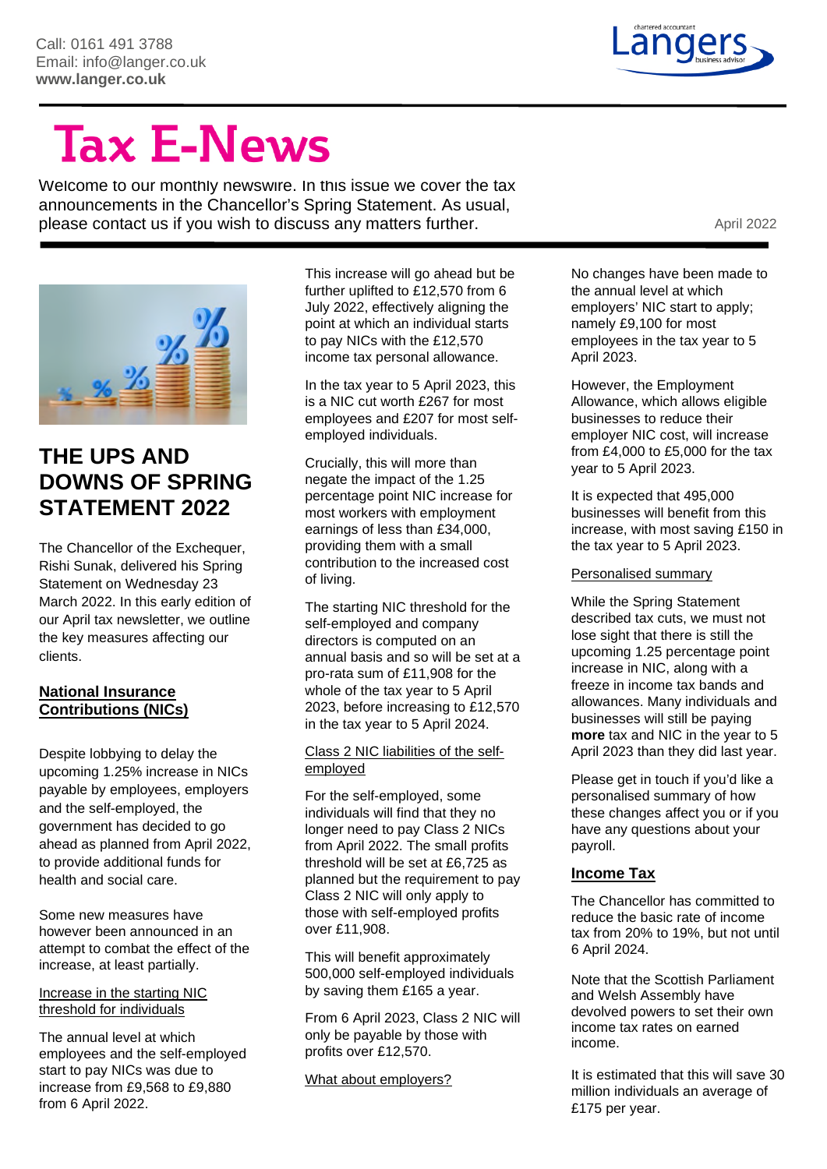

# **Tax E-News**

Welcome to our monthly newswire. In this issue we cover the tax announcements in the Chancellor's Spring Statement. As usual, please contact us if you wish to discuss any matters further. The matter of the set of the April 2022



# **THE UPS AND DOWNS OF SPRING STATEMENT 2022**

The Chancellor of the Exchequer, Rishi Sunak, delivered his Spring Statement on Wednesday 23 March 2022. In this early edition of our April tax newsletter, we outline the key measures affecting our clients.

#### **National Insurance Contributions (NICs)**

Despite lobbying to delay the upcoming 1.25% increase in NICs payable by employees, employers and the self-employed, the government has decided to go ahead as planned from April 2022, to provide additional funds for health and social care.

Some new measures have however been announced in an attempt to combat the effect of the increase, at least partially.

#### Increase in the starting NIC threshold for individuals

The annual level at which employees and the self-employed start to pay NICs was due to increase from £9,568 to £9,880 from 6 April 2022.

This increase will go ahead but be further uplifted to £12,570 from 6 July 2022, effectively aligning the point at which an individual starts to pay NICs with the £12,570 income tax personal allowance.

In the tax year to 5 April 2023, this is a NIC cut worth £267 for most employees and £207 for most selfemployed individuals.

Crucially, this will more than negate the impact of the 1.25 percentage point NIC increase for most workers with employment earnings of less than £34,000, providing them with a small contribution to the increased cost of living.

The starting NIC threshold for the self-employed and company directors is computed on an annual basis and so will be set at a pro-rata sum of £11,908 for the whole of the tax year to 5 April 2023, before increasing to £12,570 in the tax year to 5 April 2024.

#### Class 2 NIC liabilities of the selfemployed

For the self-employed, some individuals will find that they no longer need to pay Class 2 NICs from April 2022. The small profits threshold will be set at £6,725 as planned but the requirement to pay Class 2 NIC will only apply to those with self-employed profits over £11,908.

This will benefit approximately 500,000 self-employed individuals by saving them £165 a year.

From 6 April 2023, Class 2 NIC will only be payable by those with profits over £12,570.

What about employers?

No changes have been made to the annual level at which employers' NIC start to apply; namely £9,100 for most employees in the tax year to 5 April 2023.

However, the Employment Allowance, which allows eligible businesses to reduce their employer NIC cost, will increase from £4,000 to £5,000 for the tax year to 5 April 2023.

It is expected that 495,000 businesses will benefit from this increase, with most saving £150 in the tax year to 5 April 2023.

#### Personalised summary

While the Spring Statement described tax cuts, we must not lose sight that there is still the upcoming 1.25 percentage point increase in NIC, along with a freeze in income tax bands and allowances. Many individuals and businesses will still be paying **more** tax and NIC in the year to 5 April 2023 than they did last year.

Please get in touch if you'd like a personalised summary of how these changes affect you or if you have any questions about your payroll.

#### **Income Tax**

The Chancellor has committed to reduce the basic rate of income tax from 20% to 19%, but not until 6 April 2024.

Note that the Scottish Parliament and Welsh Assembly have devolved powers to set their own income tax rates on earned income.

It is estimated that this will save 30 million individuals an average of £175 per year.